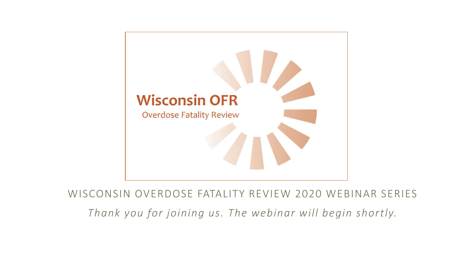

WISCONSIN OVERDOSE FATALITY REVIEW 2020 WEBINAR SERIES

*Thank you for joining us. The webinar will begin shortly.*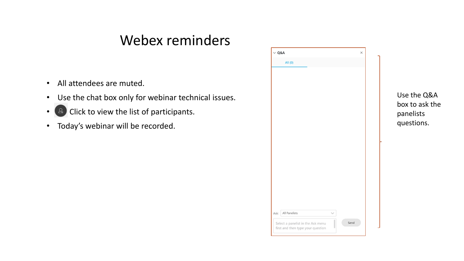#### Webex reminders

- All attendees are muted.
- Use the chat box only for webinar technical issues.
- **A** Click to view the list of participants.
- Today's webinar will be recorded.



Use the Q&A box to ask the panelists questions.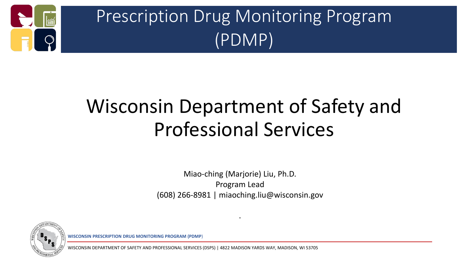

# Prescription Drug Monitoring Program (PDMP)

# Wisconsin Department of Safety and Professional Services

Miao-ching (Marjorie) Liu, Ph.D. Program Lead (608) 266-8981 | miaoching.liu@wisconsin.gov

.



**WISCONSIN PRESCRIPTION DRUG MONITORING PROGRAM (PDMP**)

FETY AND PROFESSIONAL SERVICES (DSPS) | 4822 MADISON YARDS WAY, MADISON, WI 53705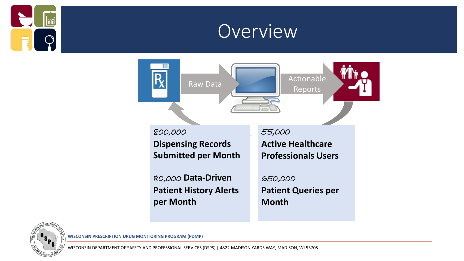

### Overview





**WISCONSIN PRESCRIPTION DRUG MONITORING PROGRAM (PDMP**)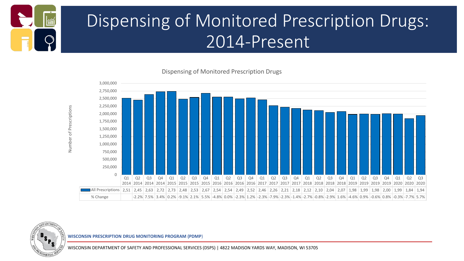

## Dispensing of Monitored Prescription Drugs: 2014-Present

Dispensing of Monitored Prescription Drugs





**WISCONSIN PRESCRIPTION DRUG MONITORING PROGRAM (PDMP**)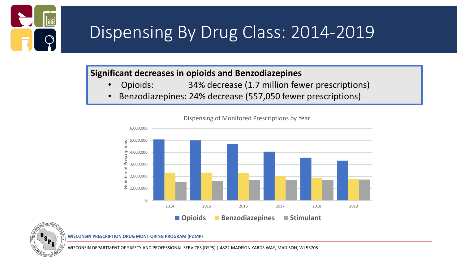

### Dispensing By Drug Class: 2014-2019

#### **Significant decreases in opioids and Benzodiazepines**

- Opioids: 34% decrease (1.7 million fewer prescriptions)
- Benzodiazepines: 24% decrease (557,050 fewer prescriptions)



Dispensing of Monitored Prescriptions by Year



**WISCONSIN PRESCRIPTION DRUG MONITORING PROGRAM (PDMP**)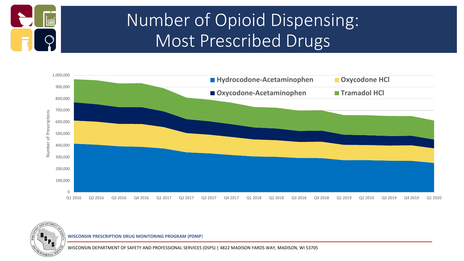

## Number of Opioid Dispensing: Most Prescribed Drugs





**WISCONSIN PRESCRIPTION DRUG MONITORING PROGRAM (PDMP**)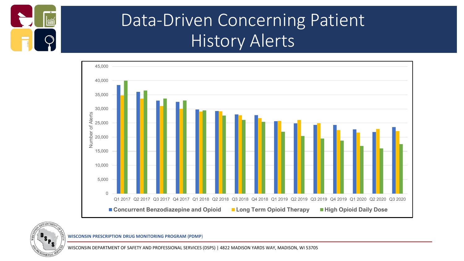

### Data-Driven Concerning Patient History Alerts





**WISCONSIN PRESCRIPTION DRUG MONITORING PROGRAM (PDMP**)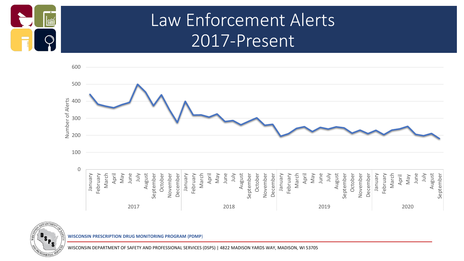

### Law Enforcement Alerts 2017-Present





**WISCONSIN PRESCRIPTION DRUG MONITORING PROGRAM (PDMP**)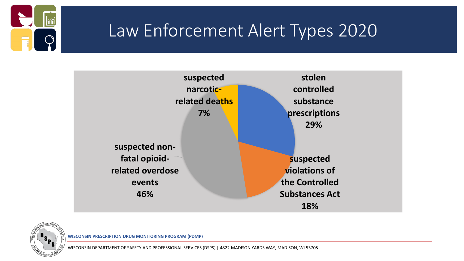

### Law Enforcement Alert Types 2020



![](_page_9_Picture_3.jpeg)

**WISCONSIN PRESCRIPTION DRUG MONITORING PROGRAM (PDMP**)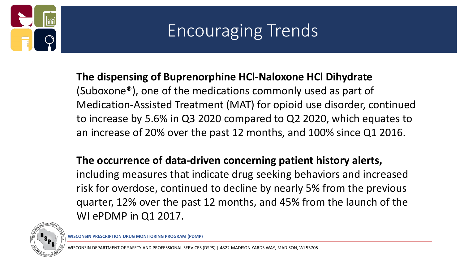![](_page_10_Picture_0.jpeg)

# Encouraging Trends

#### **The dispensing of Buprenorphine HCl-Naloxone HCl Dihydrate**

(Suboxone®), one of the medications commonly used as part of Medication-Assisted Treatment (MAT) for opioid use disorder, continued to increase by 5.6% in Q3 2020 compared to Q2 2020, which equates to an increase of 20% over the past 12 months, and 100% since Q1 2016.

#### **The occurrence of data-driven concerning patient history alerts,**

including measures that indicate drug seeking behaviors and increased risk for overdose, continued to decline by nearly 5% from the previous quarter, 12% over the past 12 months, and 45% from the launch of the WI ePDMP in Q1 2017.

![](_page_10_Picture_6.jpeg)

**WISCONSIN PRESCRIPTION DRUG MONITORING PROGRAM (PDMP**)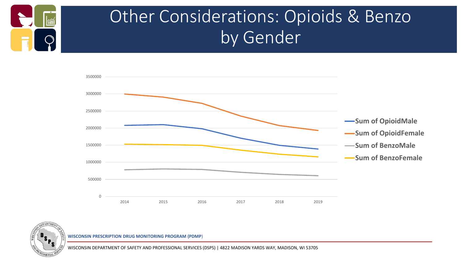![](_page_11_Picture_0.jpeg)

## Other Considerations: Opioids & Benzo by Gender

![](_page_11_Figure_2.jpeg)

![](_page_11_Picture_3.jpeg)

**WISCONSIN PRESCRIPTION DRUG MONITORING PROGRAM (PDMP**)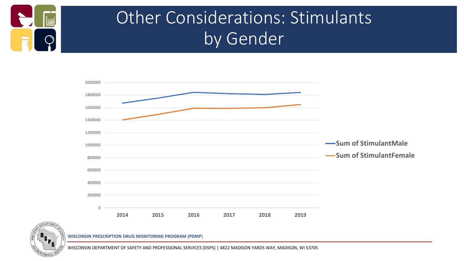![](_page_12_Picture_0.jpeg)

## Other Considerations: Stimulants by Gender

![](_page_12_Figure_2.jpeg)

![](_page_12_Picture_3.jpeg)

**WISCONSIN PRESCRIPTION DRUG MONITORING PROGRAM (PDMP**)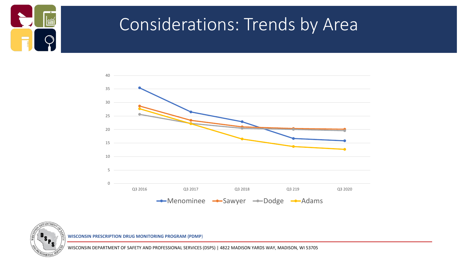![](_page_13_Picture_0.jpeg)

### Considerations: Trends by Area

![](_page_13_Figure_2.jpeg)

![](_page_13_Picture_3.jpeg)

**WISCONSIN PRESCRIPTION DRUG MONITORING PROGRAM (PDMP**)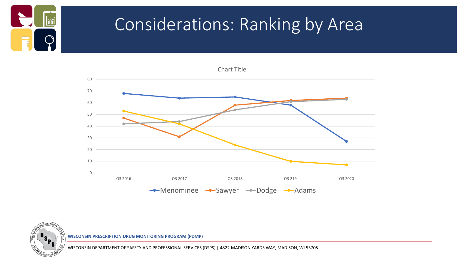![](_page_14_Picture_0.jpeg)

EPARTM

### Considerations: Ranking by Area

![](_page_14_Figure_2.jpeg)

**WISCONSIN PRESCRIPTION DRUG MONITORING PROGRAM (PDMP**)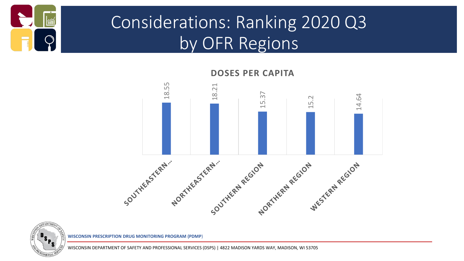![](_page_15_Picture_0.jpeg)

## Considerations: Ranking 2020 Q3 by OFR Regions

![](_page_15_Figure_2.jpeg)

![](_page_15_Picture_3.jpeg)

![](_page_15_Picture_4.jpeg)

**PTION DRUG MONITORING PROGRAM (PDMP)**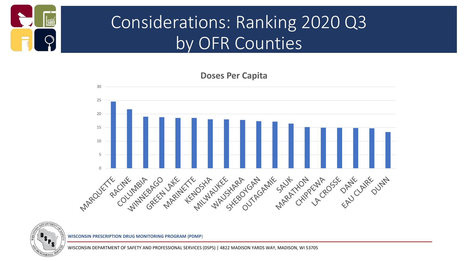![](_page_16_Picture_0.jpeg)

## Considerations: Ranking 2020 Q3 by OFR Counties

![](_page_16_Figure_2.jpeg)

![](_page_16_Picture_3.jpeg)

**WISCONSIN PRESCRIPTION DRUG MONITORING PROGRAM (PDMP**)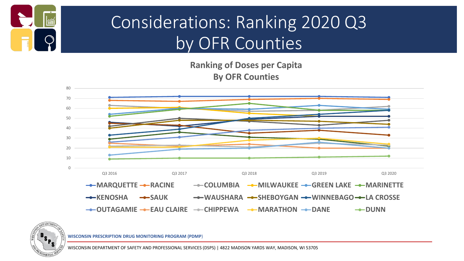![](_page_17_Picture_0.jpeg)

## Considerations: Ranking 2020 Q3 by OFR Counties

**Ranking of Doses per Capita By OFR Counties**

![](_page_17_Figure_3.jpeg)

![](_page_17_Picture_4.jpeg)

**WISCONSIN PRESCRIPTION DRUG MONITORING PROGRAM (PDMP**)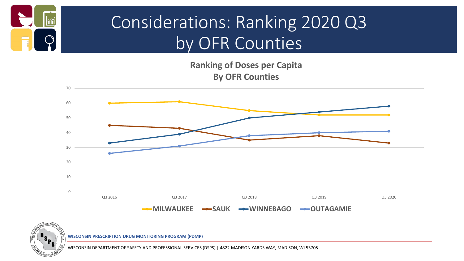![](_page_18_Picture_0.jpeg)

## Considerations: Ranking 2020 Q3 by OFR Counties

**Ranking of Doses per Capita By OFR Counties**

![](_page_18_Figure_3.jpeg)

![](_page_18_Picture_4.jpeg)

**WISCONSIN PRESCRIPTION DRUG MONITORING PROGRAM (PDMP**)